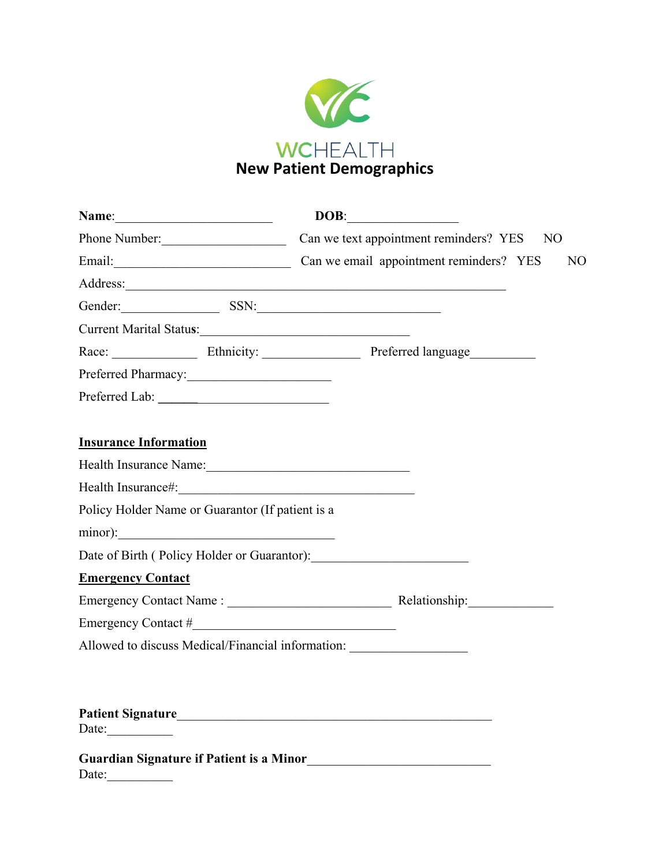

|                                                                                                                | DOB:                                                             |
|----------------------------------------------------------------------------------------------------------------|------------------------------------------------------------------|
| Phone Number:                                                                                                  | Can we text appointment reminders? YES NO                        |
|                                                                                                                | Email: Can we email appointment reminders? YES<br>N <sub>O</sub> |
|                                                                                                                |                                                                  |
| Gender: SSN:                                                                                                   |                                                                  |
| Current Marital Status:                                                                                        |                                                                  |
|                                                                                                                |                                                                  |
| Preferred Pharmacy:                                                                                            |                                                                  |
|                                                                                                                |                                                                  |
|                                                                                                                |                                                                  |
| <b>Insurance Information</b>                                                                                   |                                                                  |
| Health Insurance Name:                                                                                         |                                                                  |
| Health Insurance#: 1997 March 1998 March 1998 March 1998 March 1998 March 1998 March 1999 March 1999 March 199 |                                                                  |
| Policy Holder Name or Guarantor (If patient is a                                                               |                                                                  |
| minor):                                                                                                        |                                                                  |
|                                                                                                                |                                                                  |
| <b>Emergency Contact</b>                                                                                       |                                                                  |
|                                                                                                                |                                                                  |
|                                                                                                                |                                                                  |
| Allowed to discuss Medical/Financial information: ______________________________                               |                                                                  |
|                                                                                                                |                                                                  |
|                                                                                                                |                                                                  |
|                                                                                                                |                                                                  |
|                                                                                                                |                                                                  |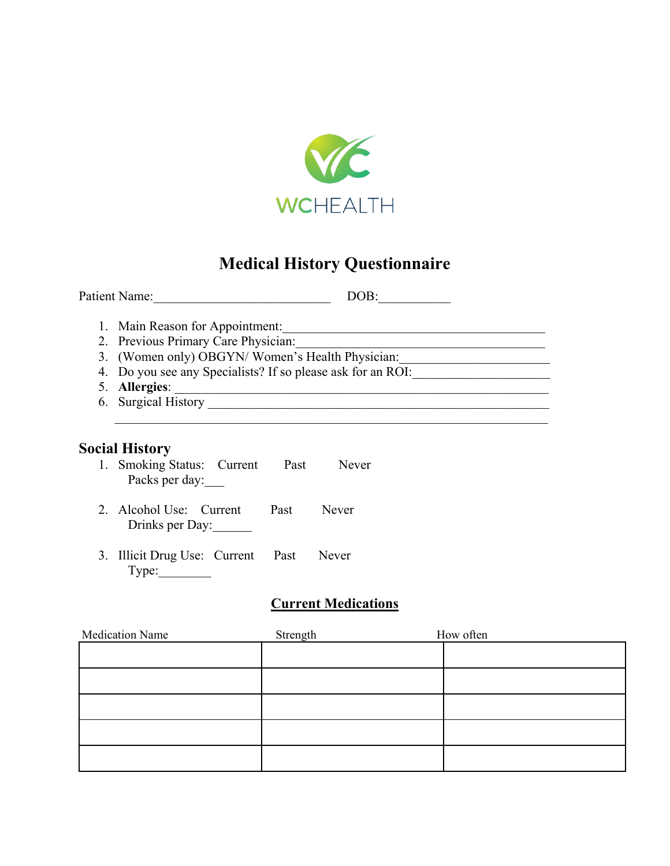

# **Medical History Questionnaire**

| Patient Name:<br>DOB:                                       |
|-------------------------------------------------------------|
| 1. Main Reason for Appointment:                             |
| 2. Previous Primary Care Physician:                         |
| 3. (Women only) OBGYN/Women's Health Physician:             |
| 4. Do you see any Specialists? If so please ask for an ROI: |
| 5. Allergies:                                               |
| 6. Surgical History                                         |
|                                                             |
|                                                             |

# **Social History**

- 1. Smoking Status: Current Past Never Packs per day:
- 2. Alcohol Use: Current Past Never Drinks per Day:
- 3. Illicit Drug Use: Current Past Never Type:

# **Current Medications**

| Medication Name | Strength | How often |  |
|-----------------|----------|-----------|--|
|                 |          |           |  |
|                 |          |           |  |
|                 |          |           |  |
|                 |          |           |  |
|                 |          |           |  |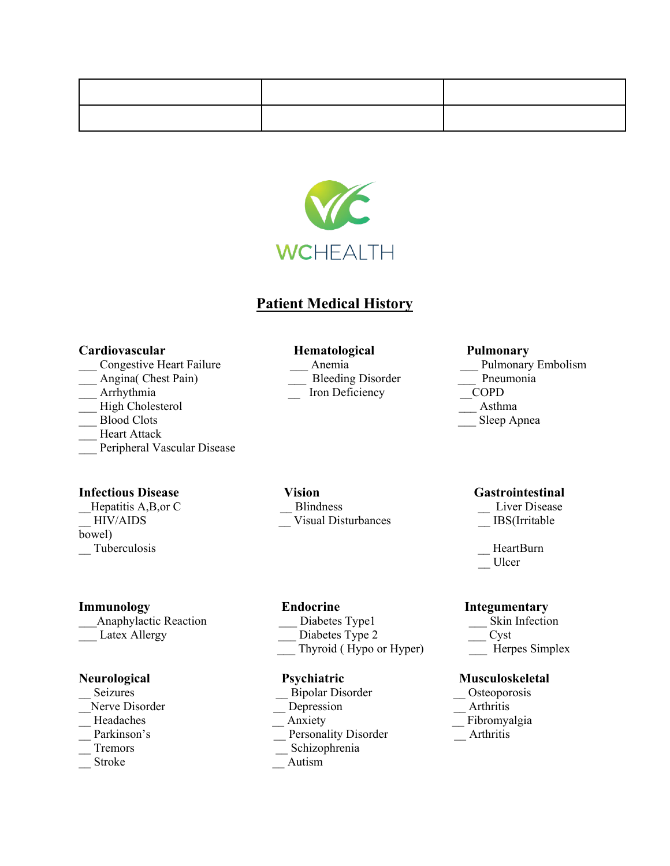

# **Patient Medical History**

#### **Cardiovascular Hematological Pulmonary**

- 
- 
- Arrhythmia  $\qquad \qquad$  Iron Deficiency
- High Cholesterol **Asthma**
- 
- Heart Attack
- \_\_\_ Peripheral Vascular Disease

#### **Infectious Disease Vision Gastrointestinal Gastrointestinal**

bowel)

Latex Allergy **Diabetes Type 2** 

- 
- 
- 
- 
- 
- 

Hepatitis A,B,or C and Blindness Eiver Disease Elisabeth A,B,or C Liver Disease HIV/AIDS Construction Construction Constraints and Construction Constraints and Construction Constraints and Construction Construction Construction Construction Construction Construction Construction Construction Construct

\_\_\_Anaphylactic Reaction \_\_\_ Diabetes Type1 \_\_\_ Skin Infection \_\_\_ Thyroid ( Hypo or Hyper) \_\_\_ Herpes Simplex

- \_\_ Seizures \_\_ Bipolar Disorder \_\_ Osteoporosis Nerve Disorder **Depression** 
	-
	- Parkinson's Personality Disorder Arthritis
	- \_\_ Tremors \_\_ Schizophrenia
	- Stroke **Autism**

\_\_\_ Congestive Heart Failure \_\_\_ Anemia \_\_\_ Pulmonary Embolism Angina( Chest Pain) \_\_\_\_\_ \_\_\_ \_\_\_ Bleeding Disorder \_\_\_\_\_\_ \_\_\_ Pneumonia<br>Arrhythmia \_\_\_\_ \_\_ \_\_ Iron Deficiency \_\_\_\_\_ \_\_\_ COPD Blood Clots \_\_\_ Sleep Apnea

- 
- 
- \_\_ Tuberculosis \_\_ HeartBurn \_\_ Ulcer

#### **Immunology Endocrine Integumentary**

- 
- 

### **Neurological** Psychiatric Musculoskeletal

- 
- 
- Headaches **Anxiety** Anxiety **Anxiety Eibromyalgia** 
	-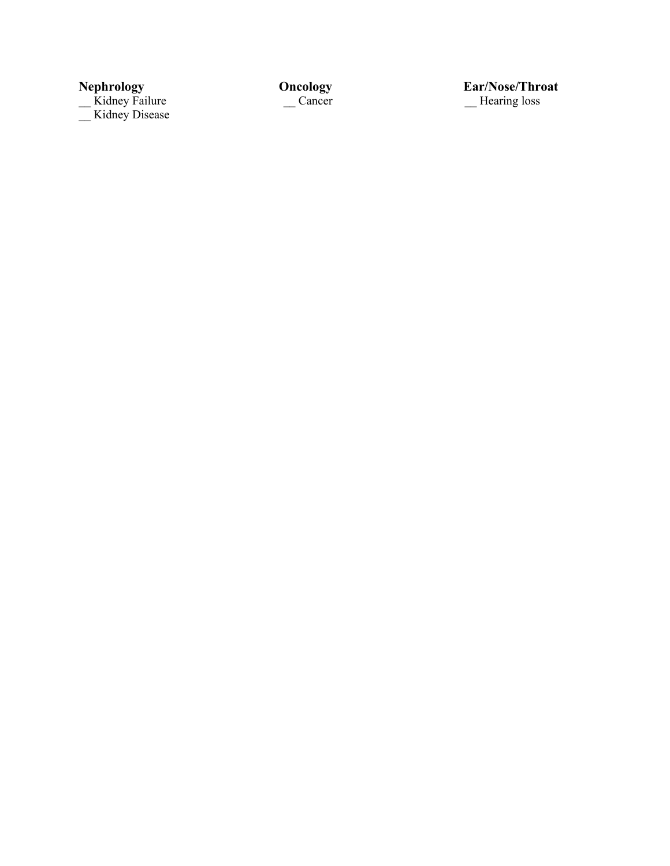Kidney Failure **Cancer Cancer Cancer Example 1** Hearing loss \_\_ Kidney Disease

**Nepsilism Concology**<br> **Nepsilism Cancer**<br> **Nepsilism Cancer**<br> **Nepsilism Concording Concernse Concernse Concernse Concernse Concernse Concernse Concernse Concernse Concernse Concernse Concernse Concernse Concernse Concern**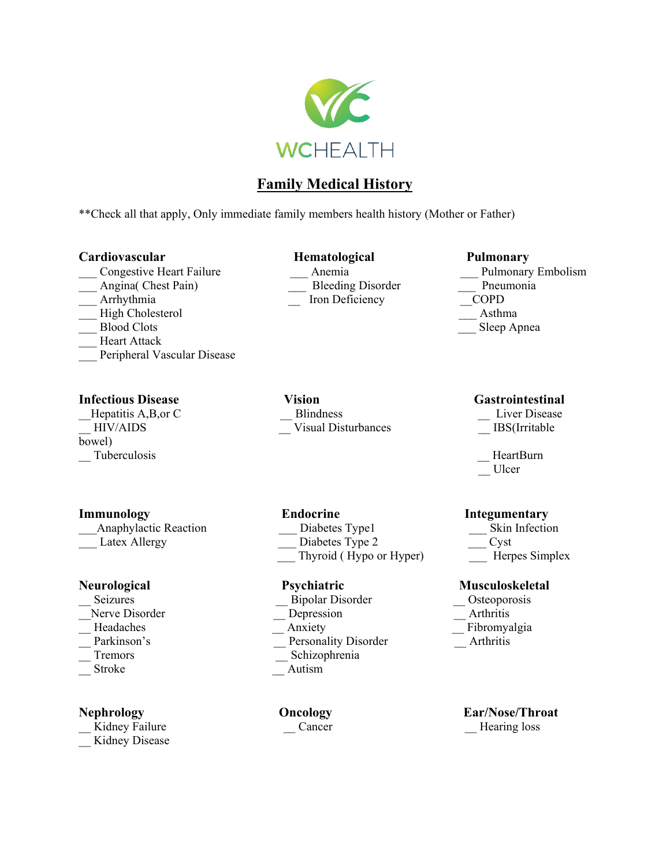

# **Family Medical History**

\*\*Check all that apply, Only immediate family members health history (Mother or Father)

### **Cardiovascular Hematological Pulmonary**

- \_\_\_ Congestive Heart Failure \_\_\_ Anemia \_\_\_ Pulmonary Embolism
- 
- 
- High Cholesterol **Asthma**
- 
- Heart Attack
- Peripheral Vascular Disease

bowel) \_\_ Tuberculosis \_\_ HeartBurn

| <b>Anaphylactic Reaction</b> | Diabetes Type1  | Skin.         |
|------------------------------|-----------------|---------------|
| Latex Allergy                | Diabetes Type 2 | $\equiv$ Cyst |

- 
- 
- 
- 
- 
- 

\_\_ Kidney Failure \_\_\_ \_\_ Cancer \_\_\_ Cancer \_\_\_ \_\_ Hearing loss \_\_ Kidney Disease

\_\_\_ Angina( Chest Pain) \_\_\_ Bleeding Disorder \_\_\_ Pneumonia Arrhythmia  $\qquad \qquad$  Iron Deficiency

**Infectious Disease Vision Gastrointestinal**  \_\_Hepatitis A,B,or C \_\_ Blindness \_\_ Liver Disease HIV/AIDS Visual Disturbances IBS(Irritable

- 
- Thyroid ( Hypo or Hyper) Herpes Simplex

- \_\_ Seizures \_\_ Bipolar Disorder \_\_ Osteoporosis
- Nerve Disorder **Depression** Depression **Arthritis** 
	-
- Parkinson's Personality Disorder Arthritis
- \_\_ Tremors \_\_ Schizophrenia
- Stroke **Autism**

Blood Clots \_\_\_ Sleep Apnea

- 
- \_\_ Ulcer

### **Immunology** Endocrine Integumentary

Skin Infection

### **Neurological Psychiatric Musculoskeletal**

- 
- 
- Headaches Anxiety Anxiety Fibromyalgia
	-

# **Nephrology Oncology <b>Ear/Nose/Throat Ear/Nose/Throat Cancer Ear/Nose/Throat Ear**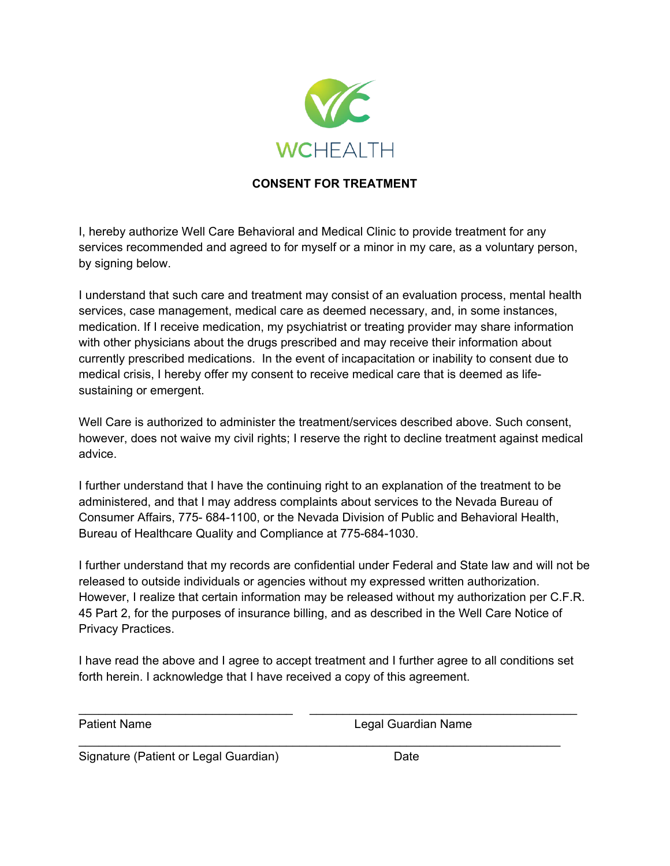

### **CONSENT FOR TREATMENT**

I, hereby authorize Well Care Behavioral and Medical Clinic to provide treatment for any services recommended and agreed to for myself or a minor in my care, as a voluntary person, by signing below.

I understand that such care and treatment may consist of an evaluation process, mental health services, case management, medical care as deemed necessary, and, in some instances, medication. If I receive medication, my psychiatrist or treating provider may share information with other physicians about the drugs prescribed and may receive their information about currently prescribed medications. In the event of incapacitation or inability to consent due to medical crisis, I hereby offer my consent to receive medical care that is deemed as lifesustaining or emergent.

Well Care is authorized to administer the treatment/services described above. Such consent, however, does not waive my civil rights; I reserve the right to decline treatment against medical advice.

I further understand that I have the continuing right to an explanation of the treatment to be administered, and that I may address complaints about services to the Nevada Bureau of Consumer Affairs, 775- 684-1100, or the Nevada Division of Public and Behavioral Health, Bureau of Healthcare Quality and Compliance at 775-684-1030.

I further understand that my records are confidential under Federal and State law and will not be released to outside individuals or agencies without my expressed written authorization. However, I realize that certain information may be released without my authorization per C.F.R. 45 Part 2, for the purposes of insurance billing, and as described in the Well Care Notice of Privacy Practices.

I have read the above and I agree to accept treatment and I further agree to all conditions set forth herein. I acknowledge that I have received a copy of this agreement.

\_\_\_\_\_\_\_\_\_\_\_\_\_\_\_\_\_\_\_\_\_\_\_\_\_\_\_\_\_\_\_\_ \_\_\_\_\_\_\_\_\_\_\_\_\_\_\_\_\_\_\_\_\_\_\_\_\_\_\_\_\_\_\_\_\_\_\_\_\_\_\_\_

 $\mathcal{L}_\text{max}$  , and the contribution of the contribution of the contribution of the contribution of the contribution of the contribution of the contribution of the contribution of the contribution of the contribution of t

Patient Name **Legal Guardian Name** 

Signature (Patient or Legal Guardian) Date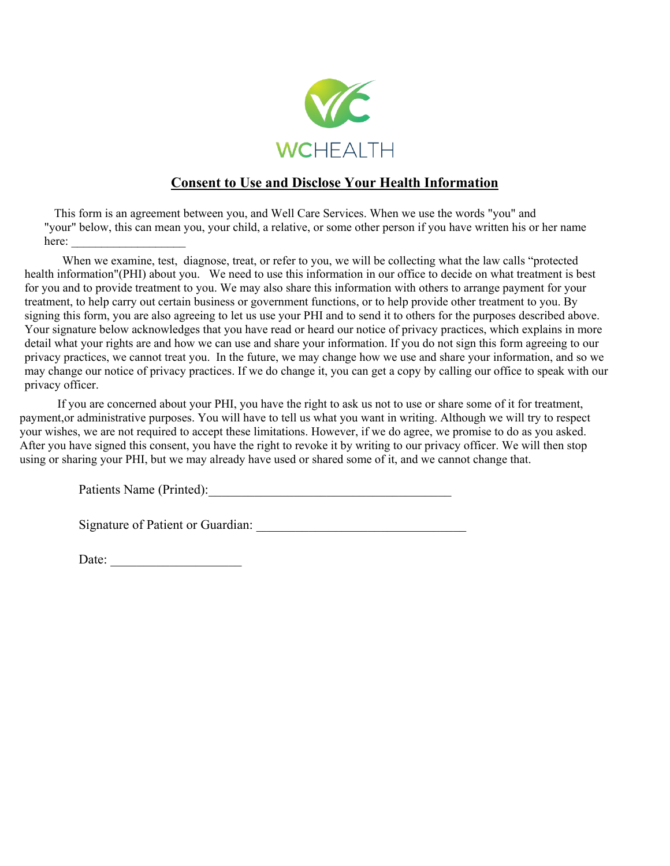

# **Consent to Use and Disclose Your Health Information**

This form is an agreement between you, and Well Care Services. When we use the words "you" and "your" below, this can mean you, your child, a relative, or some other person if you have written his or her name here:

When we examine, test, diagnose, treat, or refer to you, we will be collecting what the law calls "protected health information"(PHI) about you. We need to use this information in our office to decide on what treatment is best for you and to provide treatment to you. We may also share this information with others to arrange payment for your treatment, to help carry out certain business or government functions, or to help provide other treatment to you. By signing this form, you are also agreeing to let us use your PHI and to send it to others for the purposes described above. Your signature below acknowledges that you have read or heard our notice of privacy practices, which explains in more detail what your rights are and how we can use and share your information. If you do not sign this form agreeing to our privacy practices, we cannot treat you. In the future, we may change how we use and share your information, and so we may change our notice of privacy practices. If we do change it, you can get a copy by calling our office to speak with our privacy officer.

If you are concerned about your PHI, you have the right to ask us not to use or share some of it for treatment, payment,or administrative purposes. You will have to tell us what you want in writing. Although we will try to respect your wishes, we are not required to accept these limitations. However, if we do agree, we promise to do as you asked. After you have signed this consent, you have the right to revoke it by writing to our privacy officer. We will then stop using or sharing your PHI, but we may already have used or shared some of it, and we cannot change that.

Patients Name (Printed):\_\_\_\_\_\_\_\_\_\_\_\_\_\_\_\_\_\_\_\_\_\_\_\_\_\_\_\_\_\_\_\_\_\_\_\_\_

Signature of Patient or Guardian:

Date: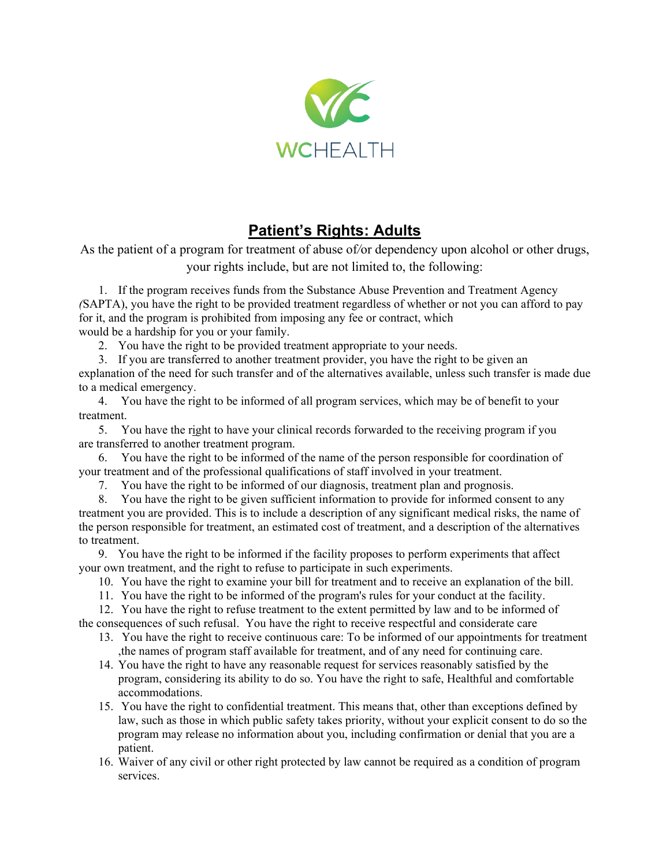

# **Patient's Rights: Adults**

As the patient of a program for treatment of abuse of*/*or dependency upon alcohol or other drugs, your rights include, but are not limited to, the following:

1. If the program receives funds from the Substance Abuse Prevention and Treatment Agency *(*SAPTA), you have the right to be provided treatment regardless of whether or not you can afford to pay for it, and the program is prohibited from imposing any fee or contract, which would be a hardship for you or your family.

2. You have the right to be provided treatment appropriate to your needs.

3. If you are transferred to another treatment provider, you have the right to be given an

explanation of the need for such transfer and of the alternatives available, unless such transfer is made due to a medical emergency.

4. You have the right to be informed of all program services, which may be of benefit to your treatment.

5. You have the right to have your clinical records forwarded to the receiving program if you are transferred to another treatment program.

6. You have the right to be informed of the name of the person responsible for coordination of your treatment and of the professional qualifications of staff involved in your treatment.

7. You have the right to be informed of our diagnosis, treatment plan and prognosis.

8. You have the right to be given sufficient information to provide for informed consent to any treatment you are provided. This is to include a description of any significant medical risks, the name of the person responsible for treatment, an estimated cost of treatment, and a description of the alternatives to treatment.

9. You have the right to be informed if the facility proposes to perform experiments that affect your own treatment, and the right to refuse to participate in such experiments.

10. You have the right to examine your bill for treatment and to receive an explanation of the bill.

11. You have the right to be informed of the program's rules for your conduct at the facility.

12. You have the right to refuse treatment to the extent permitted by law and to be informed of the consequences of such refusal. You have the right to receive respectful and considerate care

- 13. You have the right to receive continuous care: To be informed of our appointments for treatment ,the names of program staff available for treatment, and of any need for continuing care.
- 14. You have the right to have any reasonable request for services reasonably satisfied by the program, considering its ability to do so. You have the right to safe, Healthful and comfortable accommodations.
- 15. You have the right to confidential treatment. This means that, other than exceptions defined by law, such as those in which public safety takes priority, without your explicit consent to do so the program may release no information about you, including confirmation or denial that you are a patient.
- 16. Waiver of any civil or other right protected by law cannot be required as a condition of program services.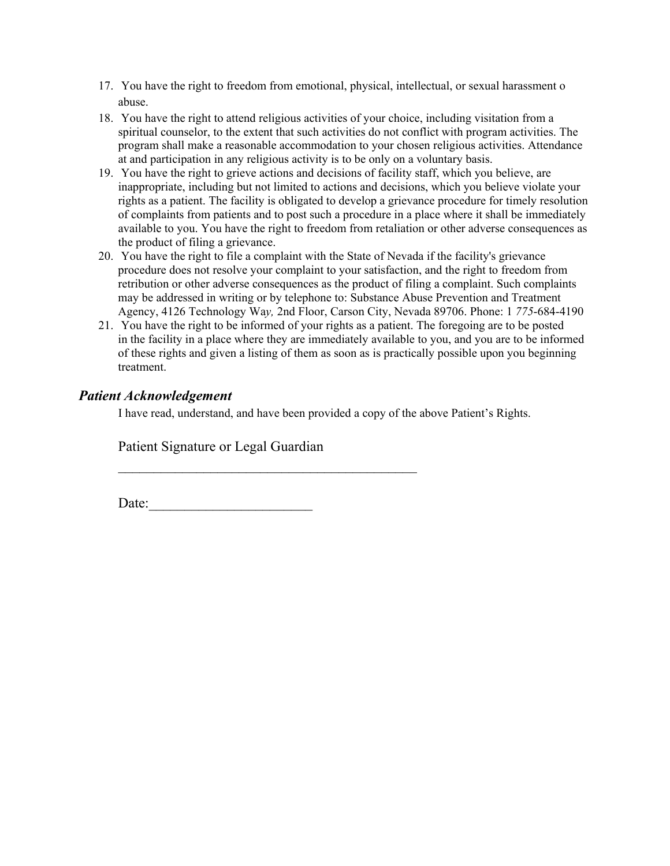- 17. You have the right to freedom from emotional, physical, intellectual, or sexual harassment o abuse.
- 18. You have the right to attend religious activities of your choice, including visitation from a spiritual counselor, to the extent that such activities do not conflict with program activities. The program shall make a reasonable accommodation to your chosen religious activities. Attendance at and participation in any religious activity is to be only on a voluntary basis.
- 19. You have the right to grieve actions and decisions of facility staff, which you believe, are inappropriate, including but not limited to actions and decisions, which you believe violate your rights as a patient. The facility is obligated to develop a grievance procedure for timely resolution of complaints from patients and to post such a procedure in a place where it shall be immediately available to you. You have the right to freedom from retaliation or other adverse consequences as the product of filing a grievance.
- 20. You have the right to file a complaint with the State of Nevada if the facility's grievance procedure does not resolve your complaint to your satisfaction, and the right to freedom from retribution or other adverse consequences as the product of filing a complaint. Such complaints may be addressed in writing or by telephone to: Substance Abuse Prevention and Treatment Agency, 4126 Technology Wa*y,* 2nd Floor, Carson City, Nevada 89706. Phone: 1 *775*-684-4190
- 21. You have the right to be informed of your rights as a patient. The foregoing are to be posted in the facility in a place where they are immediately available to you, and you are to be informed of these rights and given a listing of them as soon as is practically possible upon you beginning treatment.

## *Patient Acknowledgement*

I have read, understand, and have been provided a copy of the above Patient's Rights.

Patient Signature or Legal Guardian

 $\frac{1}{2}$  ,  $\frac{1}{2}$  ,  $\frac{1}{2}$  ,  $\frac{1}{2}$  ,  $\frac{1}{2}$  ,  $\frac{1}{2}$  ,  $\frac{1}{2}$  ,  $\frac{1}{2}$  ,  $\frac{1}{2}$  ,  $\frac{1}{2}$  ,  $\frac{1}{2}$  ,  $\frac{1}{2}$  ,  $\frac{1}{2}$  ,  $\frac{1}{2}$  ,  $\frac{1}{2}$  ,  $\frac{1}{2}$  ,  $\frac{1}{2}$  ,  $\frac{1}{2}$  ,  $\frac{1$ 

Date:\_\_\_\_\_\_\_\_\_\_\_\_\_\_\_\_\_\_\_\_\_\_\_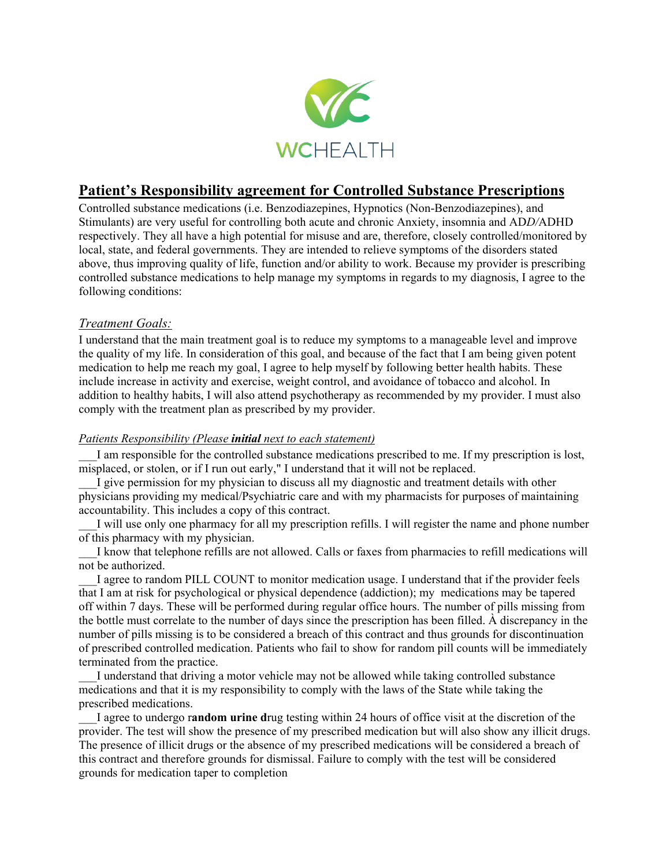

# **Patient's Responsibility agreement for Controlled Substance Prescriptions**

Controlled substance medications (i.e. Benzodiazepines, Hypnotics (Non-Benzodiazepines), and Stimulants) are very useful for controlling both acute and chronic Anxiety, insomnia and AD*D/*ADHD respectively. They all have a high potential for misuse and are, therefore, closely controlled/monitored by local, state, and federal governments. They are intended to relieve symptoms of the disorders stated above, thus improving quality of life, function and/or ability to work. Because my provider is prescribing controlled substance medications to help manage my symptoms in regards to my diagnosis, I agree to the following conditions:

### *Treatment Goals:*

I understand that the main treatment goal is to reduce my symptoms to a manageable level and improve the quality of my life. In consideration of this goal, and because of the fact that I am being given potent medication to help me reach my goal, I agree to help myself by following better health habits. These include increase in activity and exercise, weight control, and avoidance of tobacco and alcohol. In addition to healthy habits, I will also attend psychotherapy as recommended by my provider. I must also comply with the treatment plan as prescribed by my provider.

### *Patients Responsibility (Please initial next to each statement)*

\_\_\_I am responsible for the controlled substance medications prescribed to me. If my prescription is lost, misplaced, or stolen, or if I run out early," I understand that it will not be replaced.

I give permission for my physician to discuss all my diagnostic and treatment details with other physicians providing my medical/Psychiatric care and with my pharmacists for purposes of maintaining accountability. This includes a copy of this contract.

I will use only one pharmacy for all my prescription refills. I will register the name and phone number of this pharmacy with my physician.

\_\_\_I know that telephone refills are not allowed. Calls or faxes from pharmacies to refill medications will not be authorized.

\_\_\_I agree to random PILL COUNT to monitor medication usage. I understand that if the provider feels that I am at risk for psychological or physical dependence (addiction); my medications may be tapered off within 7 days. These will be performed during regular office hours. The number of pills missing from the bottle must correlate to the number of days since the prescription has been filled. À discrepancy in the number of pills missing is to be considered a breach of this contract and thus grounds for discontinuation of prescribed controlled medication. Patients who fail to show for random pill counts will be immediately terminated from the practice.

\_\_\_I understand that driving a motor vehicle may not be allowed while taking controlled substance medications and that it is my responsibility to comply with the laws of the State while taking the prescribed medications.

\_\_\_I agree to undergo r**andom urine d**rug testing within 24 hours of office visit at the discretion of the provider. The test will show the presence of my prescribed medication but will also show any illicit drugs. The presence of illicit drugs or the absence of my prescribed medications will be considered a breach of this contract and therefore grounds for dismissal. Failure to comply with the test will be considered grounds for medication taper to completion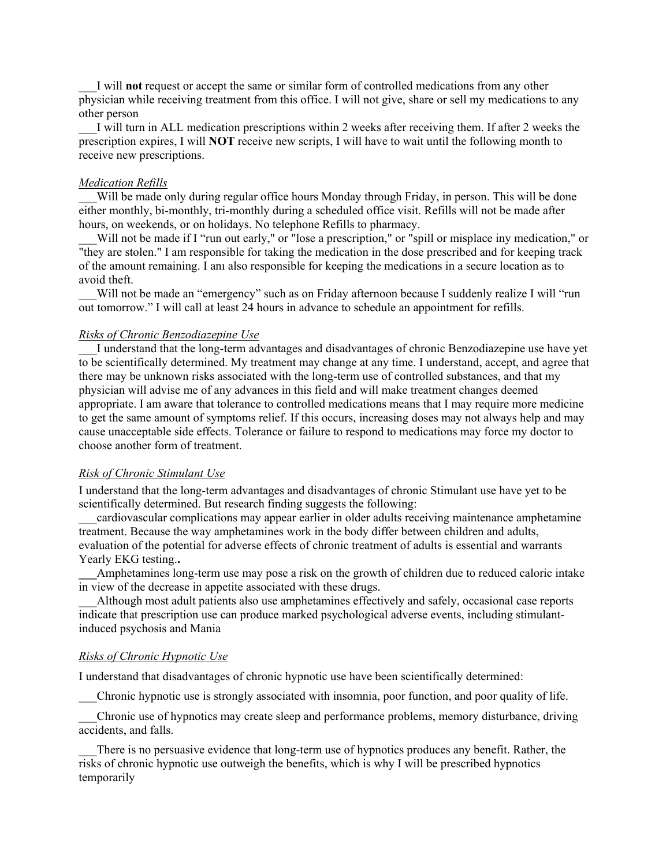\_\_\_I will **not** request or accept the same or similar form of controlled medications from any other physician while receiving treatment from this office. I will not give, share or sell my medications to any other person

\_\_\_I will turn in ALL medication prescriptions within 2 weeks after receiving them. If after 2 weeks the prescription expires, I will **NOT** receive new scripts, I will have to wait until the following month to receive new prescriptions.

#### *Medication Refills*

Will be made only during regular office hours Monday through Friday, in person. This will be done either monthly, bi-monthly, tri-monthly during a scheduled office visit. Refills will not be made after hours, on weekends, or on holidays. No telephone Refills to pharmacy.

Will not be made if I "run out early," or "lose a prescription," or "spill or misplace iny medication," or "they are stolen." I am responsible for taking the medication in the dose prescribed and for keeping track of the amount remaining. I anı also responsible for keeping the medications in a secure location as to avoid theft.

Will not be made an "emergency" such as on Friday afternoon because I suddenly realize I will "run out tomorrow." I will call at least 24 hours in advance to schedule an appointment for refills.

#### *Risks of Chronic Benzodiazepine Use*

I understand that the long-term advantages and disadvantages of chronic Benzodiazepine use have yet to be scientifically determined. My treatment may change at any time. I understand, accept, and agree that there may be unknown risks associated with the long-term use of controlled substances, and that my physician will advise me of any advances in this field and will make treatment changes deemed appropriate. I am aware that tolerance to controlled medications means that I may require more medicine to get the same amount of symptoms relief. If this occurs, increasing doses may not always help and may cause unacceptable side effects. Tolerance or failure to respond to medications may force my doctor to choose another form of treatment.

#### *Risk of Chronic Stimulant Use*

I understand that the long-term advantages and disadvantages of chronic Stimulant use have yet to be scientifically determined. But research finding suggests the following:

cardiovascular complications may appear earlier in older adults receiving maintenance amphetamine treatment. Because the way amphetamines work in the body differ between children and adults, evaluation of the potential for adverse effects of chronic treatment of adults is essential and warrants Yearly EKG testing.**.** 

**\_\_\_**Amphetamines long-term use may pose a risk on the growth of children due to reduced caloric intake in view of the decrease in appetite associated with these drugs.

\_\_\_Although most adult patients also use amphetamines effectively and safely, occasional case reports indicate that prescription use can produce marked psychological adverse events, including stimulantinduced psychosis and Mania

#### *Risks of Chronic Hypnotic Use*

I understand that disadvantages of chronic hypnotic use have been scientifically determined:

\_\_\_Chronic hypnotic use is strongly associated with insomnia, poor function, and poor quality of life.

\_\_\_Chronic use of hypnotics may create sleep and performance problems, memory disturbance, driving accidents, and falls.

There is no persuasive evidence that long-term use of hypnotics produces any benefit. Rather, the risks of chronic hypnotic use outweigh the benefits, which is why I will be prescribed hypnotics temporarily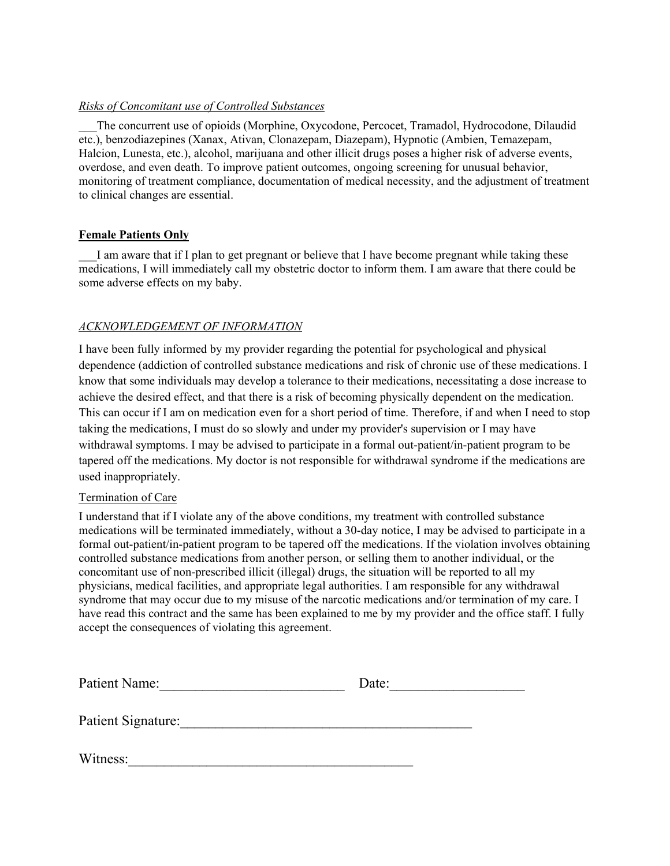### *Risks of Concomitant use of Controlled Substances*

The concurrent use of opioids (Morphine, Oxycodone, Percocet, Tramadol, Hydrocodone, Dilaudid etc.), benzodiazepines (Xanax, Ativan, Clonazepam, Diazepam), Hypnotic (Ambien, Temazepam, Halcion, Lunesta, etc.), alcohol, marijuana and other illicit drugs poses a higher risk of adverse events, overdose, and even death. To improve patient outcomes, ongoing screening for unusual behavior, monitoring of treatment compliance, documentation of medical necessity, and the adjustment of treatment to clinical changes are essential.

### **Female Patients Only**

I am aware that if I plan to get pregnant or believe that I have become pregnant while taking these medications, I will immediately call my obstetric doctor to inform them. I am aware that there could be some adverse effects on my baby.

### *ACKNOWLEDGEMENT OF INFORMATION*

I have been fully informed by my provider regarding the potential for psychological and physical dependence (addiction of controlled substance medications and risk of chronic use of these medications. I know that some individuals may develop a tolerance to their medications, necessitating a dose increase to achieve the desired effect, and that there is a risk of becoming physically dependent on the medication. This can occur if I am on medication even for a short period of time. Therefore, if and when I need to stop taking the medications, I must do so slowly and under my provider's supervision or I may have withdrawal symptoms. I may be advised to participate in a formal out-patient/in-patient program to be tapered off the medications. My doctor is not responsible for withdrawal syndrome if the medications are used inappropriately.

### Termination of Care

I understand that if I violate any of the above conditions, my treatment with controlled substance medications will be terminated immediately, without a 30-day notice, I may be advised to participate in a formal out-patient/in-patient program to be tapered off the medications. If the violation involves obtaining controlled substance medications from another person, or selling them to another individual, or the concomitant use of non-prescribed illicit (illegal) drugs, the situation will be reported to all my physicians, medical facilities, and appropriate legal authorities. I am responsible for any withdrawal syndrome that may occur due to my misuse of the narcotic medications and/or termination of my care. I have read this contract and the same has been explained to me by my provider and the office staff. I fully accept the consequences of violating this agreement.

| Patient Name:      | Date: |
|--------------------|-------|
| Patient Signature: |       |
| Witness:           |       |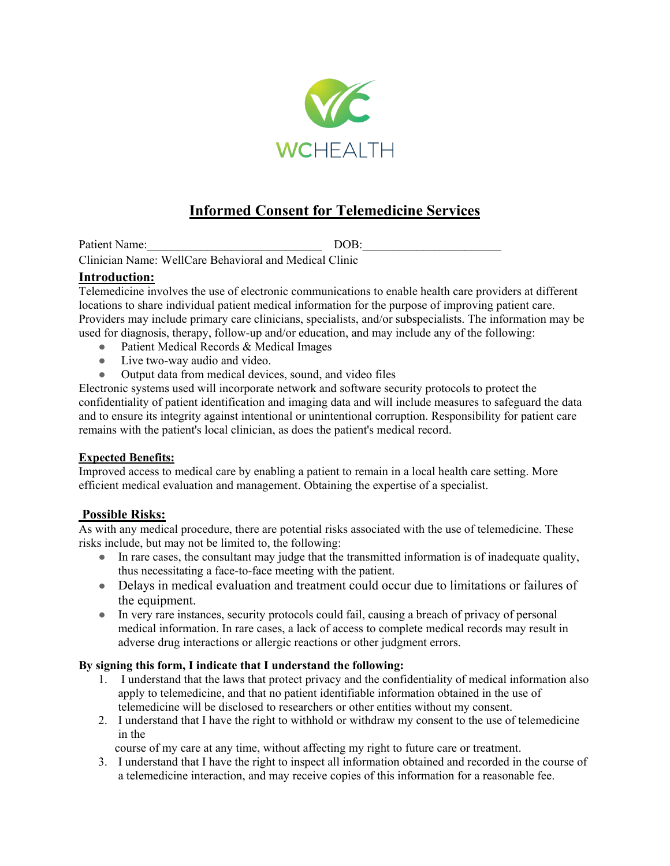

# **Informed Consent for Telemedicine Services**

Patient Name:\_\_\_\_\_\_\_\_\_\_\_\_\_\_\_\_\_\_\_\_\_\_\_\_\_\_\_\_\_ DOB:\_\_\_\_\_\_\_\_\_\_\_\_\_\_\_\_\_\_\_\_\_\_\_

Clinician Name: WellCare Behavioral and Medical Clinic

### **Introduction:**

Telemedicine involves the use of electronic communications to enable health care providers at different locations to share individual patient medical information for the purpose of improving patient care. Providers may include primary care clinicians, specialists, and/or subspecialists. The information may be used for diagnosis, therapy, follow-up and/or education, and may include any of the following:

- Patient Medical Records & Medical Images
- Live two-way audio and video.
- Output data from medical devices, sound, and video files

Electronic systems used will incorporate network and software security protocols to protect the confidentiality of patient identification and imaging data and will include measures to safeguard the data and to ensure its integrity against intentional or unintentional corruption. Responsibility for patient care remains with the patient's local clinician, as does the patient's medical record.

### **Expected Benefits:**

Improved access to medical care by enabling a patient to remain in a local health care setting. More efficient medical evaluation and management. Obtaining the expertise of a specialist.

### **Possible Risks:**

As with any medical procedure, there are potential risks associated with the use of telemedicine. These risks include, but may not be limited to, the following:

- In rare cases, the consultant may judge that the transmitted information is of inadequate quality, thus necessitating a face-to-face meeting with the patient.
- Delays in medical evaluation and treatment could occur due to limitations or failures of the equipment.
- In very rare instances, security protocols could fail, causing a breach of privacy of personal medical information. In rare cases, a lack of access to complete medical records may result in adverse drug interactions or allergic reactions or other judgment errors.

### **By signing this form, I indicate that I understand the following:**

- 1. I understand that the laws that protect privacy and the confidentiality of medical information also apply to telemedicine, and that no patient identifiable information obtained in the use of telemedicine will be disclosed to researchers or other entities without my consent.
- 2. I understand that I have the right to withhold or withdraw my consent to the use of telemedicine in the

course of my care at any time, without affecting my right to future care or treatment.

3. I understand that I have the right to inspect all information obtained and recorded in the course of a telemedicine interaction, and may receive copies of this information for a reasonable fee.